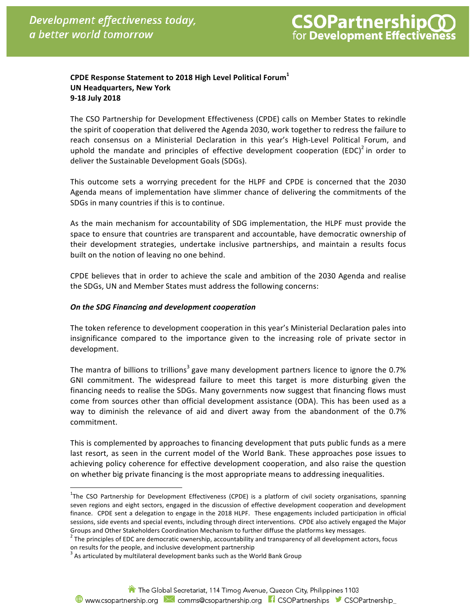# **CPDE Response Statement to 2018 High Level Political Forum<sup>1</sup> UN Headquarters, New York 9-18 July 2018**

The CSO Partnership for Development Effectiveness (CPDE) calls on Member States to rekindle the spirit of cooperation that delivered the Agenda 2030, work together to redress the failure to reach consensus on a Ministerial Declaration in this year's High-Level Political Forum, and uphold the mandate and principles of effective development cooperation (EDC)<sup>2</sup> in order to deliver the Sustainable Development Goals (SDGs).

This outcome sets a worrying precedent for the HLPF and CPDE is concerned that the 2030 Agenda means of implementation have slimmer chance of delivering the commitments of the SDGs in many countries if this is to continue.

As the main mechanism for accountability of SDG implementation, the HLPF must provide the space to ensure that countries are transparent and accountable, have democratic ownership of their development strategies, undertake inclusive partnerships, and maintain a results focus built on the notion of leaving no one behind.

CPDE believes that in order to achieve the scale and ambition of the 2030 Agenda and realise the SDGs, UN and Member States must address the following concerns:

## *On the SDG Financing and development cooperation*

The token reference to development cooperation in this year's Ministerial Declaration pales into insignificance compared to the importance given to the increasing role of private sector in development.

The mantra of billions to trillions<sup>3</sup> gave many development partners licence to ignore the 0.7% GNI commitment. The widespread failure to meet this target is more disturbing given the financing needs to realise the SDGs. Many governments now suggest that financing flows must come from sources other than official development assistance (ODA). This has been used as a way to diminish the relevance of aid and divert away from the abandonment of the 0.7% commitment.

This is complemented by approaches to financing development that puts public funds as a mere last resort, as seen in the current model of the World Bank. These approaches pose issues to achieving policy coherence for effective development cooperation, and also raise the question on whether big private financing is the most appropriate means to addressing inequalities.

The CSO Partnership for Development Effectiveness (CPDE) is a platform of civil society organisations, spanning<br><sup>1</sup>The CSO Partnership for Development Effectiveness (CPDE) is a platform of civil society organisations, span seven regions and eight sectors, engaged in the discussion of effective development cooperation and development finance. CPDE sent a delegation to engage in the 2018 HLPF. These engagements included participation in official sessions, side events and special events, including through direct interventions. CPDE also actively engaged the Major

Groups and Other Stakeholders Coordination Mechanism to further diffuse the platforms key messages.<br><sup>2</sup> The principles of EDC are democratic ownership, accountability and transparency of all development actors, focus on results for the people, and inclusive development partnership

 $3$  As articulated by multilateral development banks such as the World Bank Group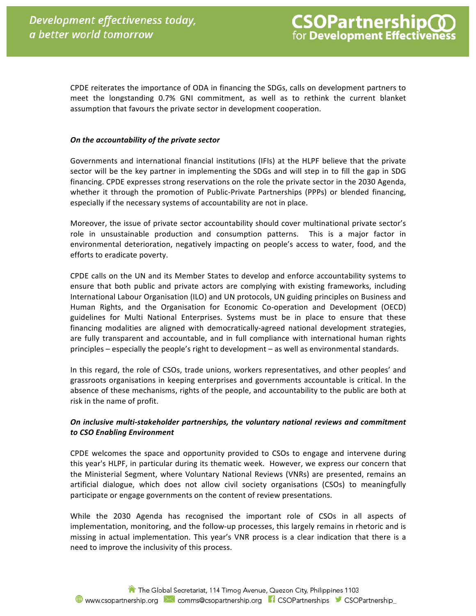CPDE reiterates the importance of ODA in financing the SDGs, calls on development partners to meet the longstanding 0.7% GNI commitment, as well as to rethink the current blanket assumption that favours the private sector in development cooperation.

#### **On the accountability of the private sector**

Governments and international financial institutions (IFIs) at the HLPF believe that the private sector will be the key partner in implementing the SDGs and will step in to fill the gap in SDG financing. CPDE expresses strong reservations on the role the private sector in the 2030 Agenda, whether it through the promotion of Public-Private Partnerships (PPPs) or blended financing, especially if the necessary systems of accountability are not in place.

Moreover, the issue of private sector accountability should cover multinational private sector's role in unsustainable production and consumption patterns. This is a major factor in environmental deterioration, negatively impacting on people's access to water, food, and the efforts to eradicate poverty.

CPDE calls on the UN and its Member States to develop and enforce accountability systems to ensure that both public and private actors are complying with existing frameworks, including International Labour Organisation (ILO) and UN protocols, UN guiding principles on Business and Human Rights, and the Organisation for Economic Co-operation and Development (OECD) guidelines for Multi National Enterprises. Systems must be in place to ensure that these financing modalities are aligned with democratically-agreed national development strategies, are fully transparent and accountable, and in full compliance with international human rights principles – especially the people's right to development – as well as environmental standards.

In this regard, the role of CSOs, trade unions, workers representatives, and other peoples' and grassroots organisations in keeping enterprises and governments accountable is critical. In the absence of these mechanisms, rights of the people, and accountability to the public are both at risk in the name of profit.

# *On inclusive multi-stakeholder partnerships, the voluntary national reviews and commitment to CSO Enabling Environment*

CPDE welcomes the space and opportunity provided to CSOs to engage and intervene during this year's HLPF, in particular during its thematic week. However, we express our concern that the Ministerial Segment, where Voluntary National Reviews (VNRs) are presented, remains an artificial dialogue, which does not allow civil society organisations (CSOs) to meaningfully participate or engage governments on the content of review presentations.

While the 2030 Agenda has recognised the important role of CSOs in all aspects of implementation, monitoring, and the follow-up processes, this largely remains in rhetoric and is missing in actual implementation. This year's VNR process is a clear indication that there is a need to improve the inclusivity of this process.